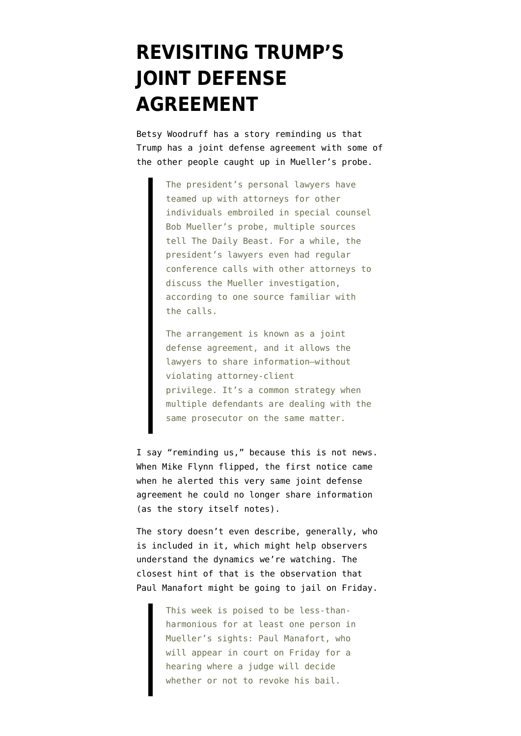## **[REVISITING TRUMP'S](https://www.emptywheel.net/2018/06/12/revisiting-trumps-joint-defense-agreement/) [JOINT DEFENSE](https://www.emptywheel.net/2018/06/12/revisiting-trumps-joint-defense-agreement/) [AGREEMENT](https://www.emptywheel.net/2018/06/12/revisiting-trumps-joint-defense-agreement/)**

Betsy Woodruff has a [story reminding us](https://www.thedailybeast.com/trumps-lawyers-plot-joint-defenses-with-others-caught-in-mueller-probe) that Trump has a joint defense agreement with some of the other people caught up in Mueller's probe.

> The president's personal lawyers have teamed up with attorneys for other individuals embroiled in special counsel Bob Mueller's probe, multiple sources tell The Daily Beast. For a while, the president's lawyers even had regular conference calls with other attorneys to discuss the Mueller investigation, according to one source familiar with the calls.

> The arrangement is known as a joint defense agreement, and it allows the lawyers to share information—without violating attorney-client privilege. It's a common strategy when multiple defendants are dealing with the same prosecutor on the same matter.

I say "reminding us," because this is not news. When Mike Flynn flipped, the first notice came when he alerted this very same joint defense agreement he could no longer share information (as the story itself notes).

The story doesn't even describe, generally, who is included in it, which might help observers understand the dynamics we're watching. The closest hint of that is the observation that Paul Manafort might be going to jail on Friday.

> This week is poised to be less-thanharmonious for at least one person in Mueller's sights: Paul Manafort, who will appear in court on Friday for a hearing where a judge will decide whether or not to revoke his bail.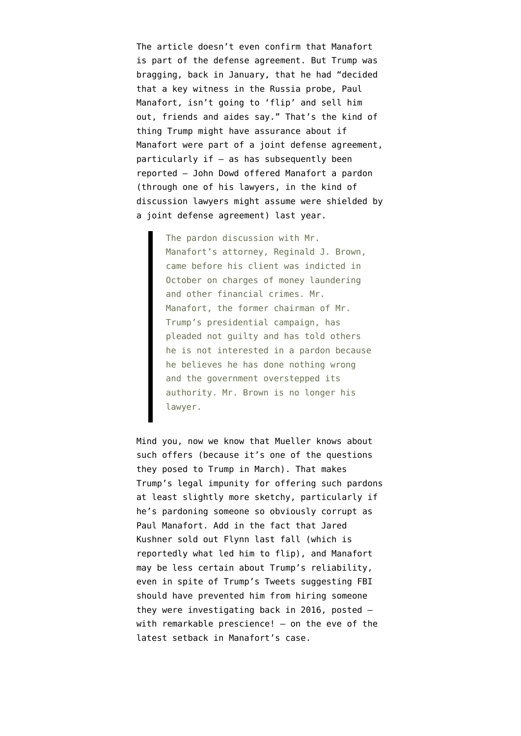The article doesn't even confirm that Manafort is part of the defense agreement. But Trump was bragging, back in January, that he had "decided that a key witness in the Russia probe, Paul Manafort, isn't going to 'flip' and sell him out, friends and aides say." That's the kind of thing Trump might have assurance about if Manafort were part of a joint defense agreement, particularly if — as has subsequently [been](https://www.nytimes.com/2018/03/28/us/politics/trump-pardon-michael-flynn-paul-manafort-john-dowd.html) [reported](https://www.nytimes.com/2018/03/28/us/politics/trump-pardon-michael-flynn-paul-manafort-john-dowd.html) — John Dowd offered Manafort a pardon (through one of his lawyers, in the kind of discussion lawyers might assume were shielded by a joint defense agreement) last year.

> The pardon discussion with Mr. Manafort's attorney, Reginald J. Brown, came before his client was indicted in October on charges of money laundering and other financial crimes. Mr. Manafort, the former chairman of Mr. Trump's presidential campaign, has pleaded not guilty and has told others he is not interested in a pardon because he believes he has done nothing wrong and the government overstepped its authority. Mr. Brown is no longer his lawyer.

Mind you, now we know that Mueller knows about such offers (because it's [one of the questions](https://www.emptywheel.net/2018/06/02/what-got-added-to-sekulows-list-further-obstruction-including-considering-of-firing-mueller-and-collusion/) they posed to Trump in March). That makes Trump's legal impunity for offering such pardons at least slightly more sketchy, particularly if he's pardoning someone so obviously corrupt as Paul Manafort. Add in the fact that Jared Kushner sold out Flynn last fall (which is reportedly what led him to flip), and Manafort may be less certain about Trump's reliability, even in spite of Trump's [Tweets](https://twitter.com/realDonaldTrump/status/1003266374473519105) suggesting FBI should have prevented him from hiring someone they were investigating back in 2016, posted with remarkable prescience! — on the eve of [the](https://www.emptywheel.net/2018/06/04/the-cat-moves-into-pounce-on-its-paul-manafort-cat-toy/) [latest setback](https://www.emptywheel.net/2018/06/04/the-cat-moves-into-pounce-on-its-paul-manafort-cat-toy/) in Manafort's case.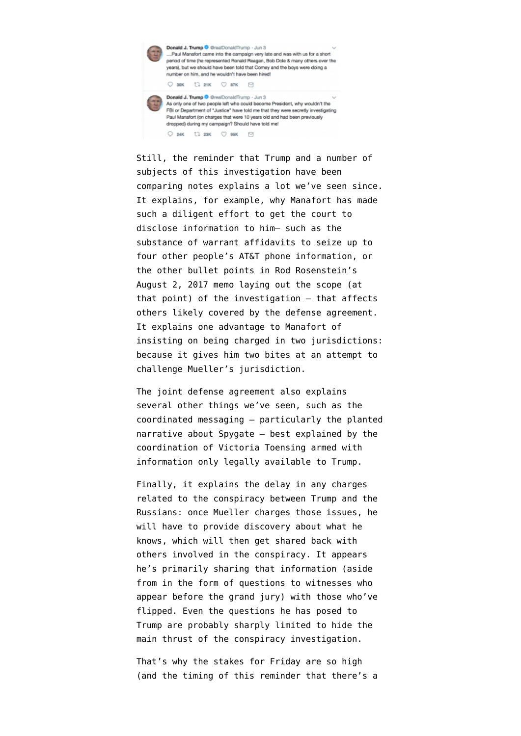

Still, the reminder that Trump and a number of subjects of this investigation have been comparing notes explains a lot we've seen since. It explains, for example, why Manafort has made such a diligent effort to get the court to disclose information to him– such as the [substance of warrant affidavits](https://www.emptywheel.net/2018/05/30/on-those-five-att-phones-manafort-wanted-to-learn-about/) to seize up to four other people's AT&T phone information, or [the other bullet points in Rod Rosenstein's](https://www.emptywheel.net/2018/04/24/muellers-entirely-redacted-three-bullets/) [August 2, 2017 memo](https://www.emptywheel.net/2018/04/24/muellers-entirely-redacted-three-bullets/) laying out the scope (at that point) of the investigation — that affects others likely covered by the defense agreement. It explains one advantage to Manafort of insisting on being charged in two jurisdictions: because it gives him [two bites at an attempt](https://www.emptywheel.net/2018/05/16/re-the-bogus-manafort-challenge-to-muellers-jurisdiction/) to challenge Mueller's jurisdiction.

The joint defense agreement also explains several other things we've seen, such as the coordinated messaging — particularly the planted narrative about Spygate — best explained by the coordination of Victoria Toensing armed with information only legally available to Trump.

Finally, it explains the delay in any charges related to the conspiracy between Trump and the Russians: once Mueller charges those issues, he will have to provide discovery about what he knows, which will then get shared back with others involved in the conspiracy. It appears he's primarily sharing that information (aside from in the form of questions to witnesses who appear before the grand jury) with those who've flipped. Even the questions he has posed to Trump are probably sharply limited to hide the main thrust of the conspiracy investigation.

That's why the stakes for Friday are so high (and the timing of this reminder that there's a